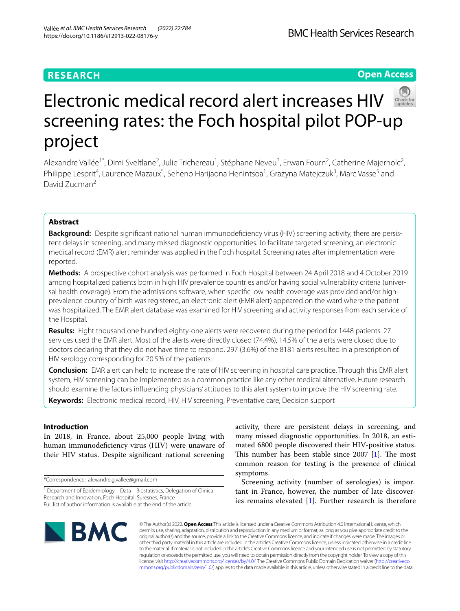# **RESEARCH**

# **Open Access**



# Electronic medical record alert increases HIV screening rates: the Foch hospital pilot POP-up project

Alexandre Vallée<sup>1\*</sup>, Dimi Sveltlane<sup>2</sup>, Julie Trichereau<sup>1</sup>, Stéphane Neveu<sup>3</sup>, Erwan Fourn<sup>2</sup>, Catherine Majerholc<sup>2</sup>, Philippe Lesprit<sup>4</sup>, Laurence Mazaux<sup>5</sup>, Seheno Harijaona Henintsoa<sup>1</sup>, Grazyna Matejczuk<sup>3</sup>, Marc Vasse<sup>5</sup> and David Zucman2

# **Abstract**

**Background:** Despite significant national human immunodeficiency virus (HIV) screening activity, there are persistent delays in screening, and many missed diagnostic opportunities. To facilitate targeted screening, an electronic medical record (EMR) alert reminder was applied in the Foch hospital. Screening rates after implementation were reported.

**Methods:** A prospective cohort analysis was performed in Foch Hospital between 24 April 2018 and 4 October 2019 among hospitalized patients born in high HIV prevalence countries and/or having social vulnerability criteria (universal health coverage). From the admissions software, when specifc low health coverage was provided and/or highprevalence country of birth was registered, an electronic alert (EMR alert) appeared on the ward where the patient was hospitalized. The EMR alert database was examined for HIV screening and activity responses from each service of the Hospital.

**Results:** Eight thousand one hundred eighty-one alerts were recovered during the period for 1448 patients. 27 services used the EMR alert. Most of the alerts were directly closed (74.4%), 14.5% of the alerts were closed due to doctors declaring that they did not have time to respond. 297 (3.6%) of the 8181 alerts resulted in a prescription of HIV serology corresponding for 20.5% of the patients.

**Conclusion:** EMR alert can help to increase the rate of HIV screening in hospital care practice. Through this EMR alert system, HIV screening can be implemented as a common practice like any other medical alternative. Future research should examine the factors infuencing physicians' attitudes to this alert system to improve the HIV screening rate.

**Keywords:** Electronic medical record, HIV, HIV screening, Preventative care, Decision support

# **Introduction**

In 2018, in France, about 25,000 people living with human immunodeficiency virus (HIV) were unaware of their HIV status. Despite signifcant national screening

\*Correspondence: alexandre.g.vallee@gmail.com

activity, there are persistent delays in screening, and many missed diagnostic opportunities. In 2018, an estimated 6800 people discovered their HIV-positive status. This number has been stable since  $2007$  [\[1](#page-6-0)]. The most common reason for testing is the presence of clinical symptoms.

Screening activity (number of serologies) is important in France, however, the number of late discoveries remains elevated [[1\]](#page-6-0). Further research is therefore



© The Author(s) 2022. **Open Access** This article is licensed under a Creative Commons Attribution 4.0 International License, which permits use, sharing, adaptation, distribution and reproduction in any medium or format, as long as you give appropriate credit to the original author(s) and the source, provide a link to the Creative Commons licence, and indicate if changes were made. The images or other third party material in this article are included in the article's Creative Commons licence, unless indicated otherwise in a credit line to the material. If material is not included in the article's Creative Commons licence and your intended use is not permitted by statutory regulation or exceeds the permitted use, you will need to obtain permission directly from the copyright holder. To view a copy of this licence, visit [http://creativecommons.org/licenses/by/4.0/.](http://creativecommons.org/licenses/by/4.0/) The Creative Commons Public Domain Dedication waiver ([http://creativeco](http://creativecommons.org/publicdomain/zero/1.0/) [mmons.org/publicdomain/zero/1.0/](http://creativecommons.org/publicdomain/zero/1.0/)) applies to the data made available in this article, unless otherwise stated in a credit line to the data.

<sup>&</sup>lt;sup>1</sup> Department of Epidemiology - Data - Biostatistics, Delegation of Clinical Research and Innovation, Foch Hospital, Suresnes, France Full list of author information is available at the end of the article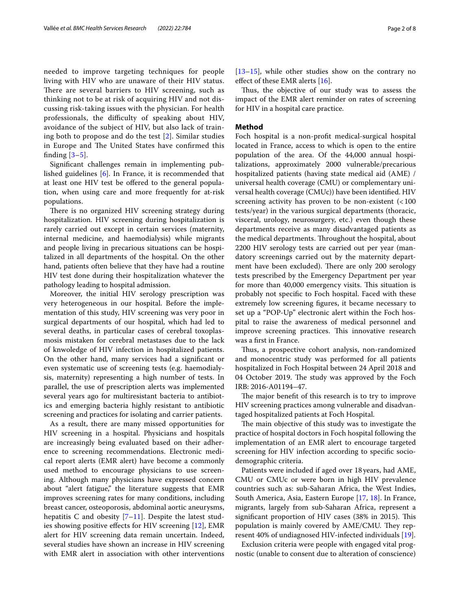needed to improve targeting techniques for people living with HIV who are unaware of their HIV status. There are several barriers to HIV screening, such as thinking not to be at risk of acquiring HIV and not discussing risk-taking issues with the physician. For health professionals, the difficulty of speaking about HIV, avoidance of the subject of HIV, but also lack of training both to propose and do the test [\[2](#page-6-1)]. Similar studies in Europe and The United States have confirmed this finding  $[3-5]$  $[3-5]$ .

Signifcant challenges remain in implementing published guidelines [[6\]](#page-6-4). In France, it is recommended that at least one HIV test be ofered to the general population, when using care and more frequently for at-risk populations.

There is no organized HIV screening strategy during hospitalization. HIV screening during hospitalization is rarely carried out except in certain services (maternity, internal medicine, and haemodialysis) while migrants and people living in precarious situations can be hospitalized in all departments of the hospital. On the other hand, patients often believe that they have had a routine HIV test done during their hospitalization whatever the pathology leading to hospital admission.

Moreover, the initial HIV serology prescription was very heterogeneous in our hospital. Before the implementation of this study, HIV screening was very poor in surgical departments of our hospital, which had led to several deaths, in particular cases of cerebral toxoplasmosis mistaken for cerebral metastases due to the lack of knwoledge of HIV infection in hospitalized patients. On the other hand, many services had a signifcant or even systematic use of screening tests (e.g. haemodialysis, maternity) representing a high number of tests. In parallel, the use of prescription alerts was implemented several years ago for multiresistant bacteria to antibiotics and emerging bacteria highly resistant to antibiotic screening and practices for isolating and carrier patients.

As a result, there are many missed opportunities for HIV screening in a hospital. Physicians and hospitals are increasingly being evaluated based on their adherence to screening recommendations. Electronic medical report alerts (EMR alert) have become a commonly used method to encourage physicians to use screening. Although many physicians have expressed concern about "alert fatigue," the literature suggests that EMR improves screening rates for many conditions, including breast cancer, osteoporosis, abdominal aortic aneurysms, hepatitis C and obesity  $[7-11]$  $[7-11]$  $[7-11]$ . Despite the latest studies showing positive efects for HIV screening [[12](#page-6-7)], EMR alert for HIV screening data remain uncertain. Indeed, several studies have shown an increase in HIV screening with EMR alert in association with other interventions [[13–](#page-6-8)[15\]](#page-6-9), while other studies show on the contrary no efect of these EMR alerts [[16\]](#page-6-10).

Thus, the objective of our study was to assess the impact of the EMR alert reminder on rates of screening for HIV in a hospital care practice.

#### **Method**

Foch hospital is a non-proft medical-surgical hospital located in France, access to which is open to the entire population of the area. Of the 44,000 annual hospitalizations, approximately 2000 vulnerable/precarious hospitalized patients (having state medical aid (AME) / universal health coverage (CMU) or complementary universal health coverage (CMUc)) have been identifed. HIV screening activity has proven to be non-existent  $\left( < 100 \right)$ tests/year) in the various surgical departments (thoracic, visceral, urology, neurosurgery, etc.) even though these departments receive as many disadvantaged patients as the medical departments. Throughout the hospital, about 2200 HIV serology tests are carried out per year (mandatory screenings carried out by the maternity department have been excluded). There are only 200 serology tests prescribed by the Emergency Department per year for more than 40,000 emergency visits. This situation is probably not specifc to Foch hospital. Faced with these extremely low screening fgures, it became necessary to set up a "POP-Up" electronic alert within the Foch hospital to raise the awareness of medical personnel and improve screening practices. This innovative research was a frst in France.

Thus, a prospective cohort analysis, non-randomized and monocentric study was performed for all patients hospitalized in Foch Hospital between 24 April 2018 and 04 October 2019. The study was approved by the Foch IRB: 2016-A01194–47.

The major benefit of this research is to try to improve HIV screening practices among vulnerable and disadvantaged hospitalized patients at Foch Hospital.

The main objective of this study was to investigate the practice of hospital doctors in Foch hospital following the implementation of an EMR alert to encourage targeted screening for HIV infection according to specifc sociodemographic criteria.

Patients were included if aged over 18years, had AME, CMU or CMUc or were born in high HIV prevalence countries such as: sub-Saharan Africa, the West Indies, South America, Asia, Eastern Europe [\[17](#page-6-11), [18](#page-6-12)]. In France, migrants, largely from sub-Saharan Africa, represent a significant proportion of HIV cases (38% in 2015). This population is mainly covered by AME/CMU. They represent 40% of undiagnosed HIV-infected individuals [\[19\]](#page-6-13).

Exclusion criteria were people with engaged vital prognostic (unable to consent due to alteration of conscience)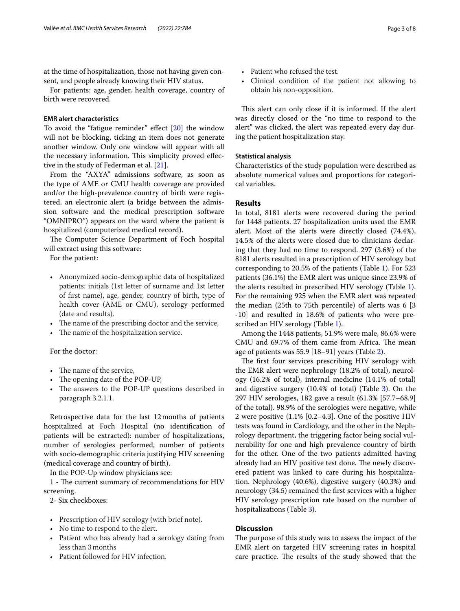at the time of hospitalization, those not having given consent, and people already knowing their HIV status.

For patients: age, gender, health coverage, country of birth were recovered.

#### **EMR alert characteristics**

To avoid the "fatigue reminder" efect [\[20](#page-6-14)] the window will not be blocking, ticking an item does not generate another window. Only one window will appear with all the necessary information. This simplicity proved effective in the study of Federman et al. [[21\]](#page-6-15).

From the "AXYA" admissions software, as soon as the type of AME or CMU health coverage are provided and/or the high-prevalence country of birth were registered, an electronic alert (a bridge between the admission software and the medical prescription software "OMNIPRO") appears on the ward where the patient is hospitalized (computerized medical record).

The Computer Science Department of Foch hospital will extract using this software:

For the patient:

- Anonymized socio-demographic data of hospitalized patients: initials (1st letter of surname and 1st letter of frst name), age, gender, country of birth, type of health cover (AME or CMU), serology performed (date and results).
- The name of the prescribing doctor and the service,
- The name of the hospitalization service.

For the doctor:

- The name of the service,
- The opening date of the POP-UP,
- The answers to the POP-UP questions described in paragraph 3.2.1.1.

Retrospective data for the last 12months of patients hospitalized at Foch Hospital (no identifcation of patients will be extracted): number of hospitalizations, number of serologies performed, number of patients with socio-demographic criteria justifying HIV screening (medical coverage and country of birth).

In the POP-Up window physicians see:

1 - The current summary of recommendations for HIV screening.

2- Six checkboxes:

- Prescription of HIV serology (with brief note).
- No time to respond to the alert.
- Patient who has already had a serology dating from less than 3months
- Patient followed for HIV infection.
- Patient who refused the test.
- Clinical condition of the patient not allowing to obtain his non-opposition.

This alert can only close if it is informed. If the alert was directly closed or the "no time to respond to the alert" was clicked, the alert was repeated every day during the patient hospitalization stay.

#### **Statistical analysis**

Characteristics of the study population were described as absolute numerical values and proportions for categorical variables.

### **Results**

In total, 8181 alerts were recovered during the period for 1448 patients. 27 hospitalization units used the EMR alert. Most of the alerts were directly closed (74.4%), 14.5% of the alerts were closed due to clinicians declaring that they had no time to respond. 297 (3.6%) of the 8181 alerts resulted in a prescription of HIV serology but corresponding to 20.5% of the patients (Table [1](#page-3-0)). For 523 patients (36.1%) the EMR alert was unique since 23.9% of the alerts resulted in prescribed HIV serology (Table [1](#page-3-0)). For the remaining 925 when the EMR alert was repeated the median (25th to 75th percentile) of alerts was 6 [3 -10] and resulted in 18.6% of patients who were prescribed an HIV serology (Table [1\)](#page-3-0).

Among the 1448 patients, 51.9% were male, 86.6% were CMU and 69.7% of them came from Africa. The mean age of patients was 55.9 [18–91] years (Table [2](#page-3-1)).

The first four services prescribing HIV serology with the EMR alert were nephrology (18.2% of total), neurology (16.2% of total), internal medicine (14.1% of total) and digestive surgery (10.4% of total) (Table [3\)](#page-4-0). On the 297 HIV serologies, 182 gave a result (61.3% [57.7–68.9] of the total). 98.9% of the serologies were negative, while 2 were positive (1.1% [0.2–4.3]. One of the positive HIV tests was found in Cardiology, and the other in the Nephrology department, the triggering factor being social vulnerability for one and high prevalence country of birth for the other. One of the two patients admitted having already had an HIV positive test done. The newly discovered patient was linked to care during his hospitalization. Nephrology (40.6%), digestive surgery (40.3%) and neurology (34.5) remained the frst services with a higher HIV serology prescription rate based on the number of hospitalizations (Table [3](#page-4-0)).

#### **Discussion**

The purpose of this study was to assess the impact of the EMR alert on targeted HIV screening rates in hospital care practice. The results of the study showed that the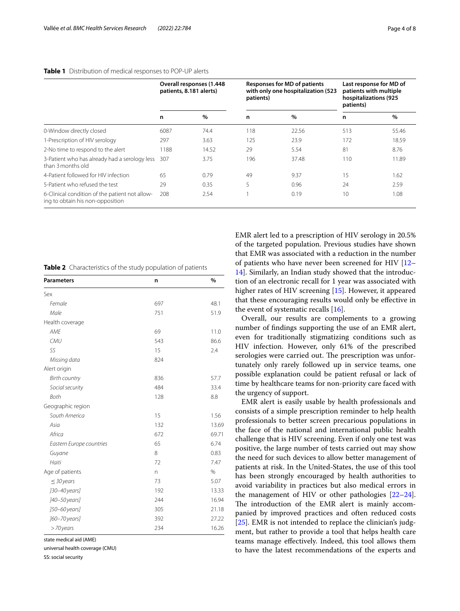|                                                                                    | Overall responses (1.448<br>patients, 8.181 alerts) |       | <b>Responses for MD of patients</b><br>with only one hospitalization (523<br>patients) |       | Last response for MD of<br>patients with multiple<br>hospitalizations (925<br>patients) |       |
|------------------------------------------------------------------------------------|-----------------------------------------------------|-------|----------------------------------------------------------------------------------------|-------|-----------------------------------------------------------------------------------------|-------|
|                                                                                    | n                                                   | $\%$  | n                                                                                      | $\%$  | n                                                                                       | $\%$  |
| 0-Window directly closed                                                           | 6087                                                | 74.4  | 118                                                                                    | 22.56 | 513                                                                                     | 55.46 |
| 1-Prescription of HIV serology                                                     | 297                                                 | 3.63  | 125                                                                                    | 23.9  | 172                                                                                     | 18.59 |
| 2-No time to respond to the alert                                                  | 1188                                                | 14.52 | 29                                                                                     | 5.54  | 81                                                                                      | 8.76  |
| 3-Patient who has already had a serology less<br>than 3 months old                 | 307                                                 | 3.75  | 196                                                                                    | 37.48 | 110                                                                                     | 11.89 |
| 4-Patient followed for HIV infection                                               | 65                                                  | 0.79  | 49                                                                                     | 9.37  | 15                                                                                      | 1.62  |
| 5-Patient who refused the test                                                     | 29                                                  | 0.35  | 5                                                                                      | 0.96  | 24                                                                                      | 2.59  |
| 6-Clinical condition of the patient not allow-<br>ing to obtain his non-opposition | 208                                                 | 2.54  |                                                                                        | 0.19  | 10                                                                                      | 1.08  |

<span id="page-3-0"></span>**Table 1** Distribution of medical responses to POP-UP alerts

<span id="page-3-1"></span>**Table 2** Characteristics of the study population of patients

| <b>Parameters</b>        | n   | %             |
|--------------------------|-----|---------------|
| Sex                      |     |               |
| Female                   | 697 | 48.1          |
| Male                     | 751 | 51.9          |
| Health coverage          |     |               |
| <b>AME</b>               | 69  | 11.0          |
| CMU                      | 543 | 86.6          |
| SS                       | 15  | 2.4           |
| Missing data             | 824 |               |
| Alert origin             |     |               |
| <b>Birth country</b>     | 836 | 57.7          |
| Social security          | 484 | 33.4          |
| <b>Both</b>              | 128 | 8.8           |
| Geographic region        |     |               |
| South America            | 15  | 1.56          |
| Asia                     | 132 | 13.69         |
| Africa                   | 672 | 69.71         |
| Eastern Europe countries | 65  | 6.74          |
| Guyane                   | 8   | 0.83          |
| Haiti                    | 72  | 7.47          |
| Age of patients          | n   | $\frac{0}{0}$ |
| $\leq$ 30 years          | 73  | 5.07          |
| ]30-40 years]            | 192 | 13.33         |
| ]40-50 years]            | 244 | 16.94         |
| ]50-60 years]            | 305 | 21.18         |
| ]60-70 years]            | 392 | 27.22         |
| >70 years                | 234 | 16.26         |

state medical aid (AME)

universal health coverage (CMU)

SS: social security

EMR alert led to a prescription of HIV serology in 20.5% of the targeted population. Previous studies have shown that EMR was associated with a reduction in the number of patients who have never been screened for HIV [[12–](#page-6-7) [14\]](#page-6-16). Similarly, an Indian study showed that the introduction of an electronic recall for 1 year was associated with higher rates of HIV screening [\[15\]](#page-6-9). However, it appeared that these encouraging results would only be efective in the event of systematic recalls [[16\]](#page-6-10).

Overall, our results are complements to a growing number of fndings supporting the use of an EMR alert, even for traditionally stigmatizing conditions such as HIV infection. However, only 61% of the prescribed serologies were carried out. The prescription was unfortunately only rarely followed up in service teams, one possible explanation could be patient refusal or lack of time by healthcare teams for non-priority care faced with the urgency of support.

EMR alert is easily usable by health professionals and consists of a simple prescription reminder to help health professionals to better screen precarious populations in the face of the national and international public health challenge that is HIV screening. Even if only one test was positive, the large number of tests carried out may show the need for such devices to allow better management of patients at risk. In the United-States, the use of this tool has been strongly encouraged by health authorities to avoid variability in practices but also medical errors in the management of HIV or other pathologies [[22](#page-6-17)[–24](#page-6-18)]. The introduction of the EMR alert is mainly accompanied by improved practices and often reduced costs [[25\]](#page-6-19). EMR is not intended to replace the clinician's judgment, but rather to provide a tool that helps health care teams manage efectively. Indeed, this tool allows them to have the latest recommendations of the experts and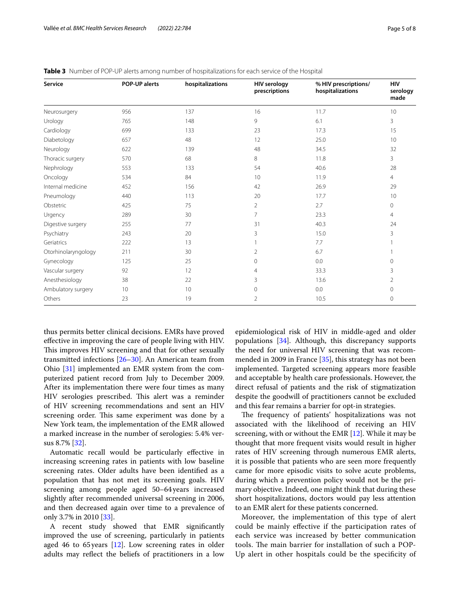| <b>Service</b>      | <b>POP-UP alerts</b> | hospitalizations | <b>HIV serology</b><br>prescriptions | % HIV prescriptions/<br>hospitalizations | <b>HIV</b><br>serology<br>made |
|---------------------|----------------------|------------------|--------------------------------------|------------------------------------------|--------------------------------|
| Neurosurgery        | 956                  | 137              | 16                                   | 11.7                                     | 10                             |
| Urology             | 765                  | 148              | 9                                    | 6.1                                      | 3                              |
| Cardiology          | 699                  | 133              | 23                                   | 17.3                                     | 15                             |
| Diabetology         | 657                  | 48               | 12                                   | 25.0                                     | 10                             |
| Neurology           | 622                  | 139              | 48                                   | 34.5                                     | 32                             |
| Thoracic surgery    | 570                  | 68               | 8                                    | 11.8                                     | 3                              |
| Nephrology          | 553                  | 133              | 54                                   | 40.6                                     | 28                             |
| Oncology            | 534                  | 84               | 10                                   | 11.9                                     | $\overline{4}$                 |
| Internal medicine   | 452                  | 156              | 42                                   | 26.9                                     | 29                             |
| Pneumology          | 440                  | 113              | 20                                   | 17.7                                     | 10                             |
| Obstetric           | 425                  | 75               | 2                                    | 2.7                                      | 0                              |
| Urgency             | 289                  | 30               | 7                                    | 23.3                                     | 4                              |
| Digestive surgery   | 255                  | 77               | 31                                   | 40.3                                     | 24                             |
| Psychiatry          | 243                  | 20               | 3                                    | 15.0                                     | 3                              |
| Geriatrics          | 222                  | 13               |                                      | 7.7                                      |                                |
| Otorhinolaryngology | 211                  | 30               | 2                                    | 6.7                                      |                                |
| Gynecology          | 125                  | 25               | $\Omega$                             | 0.0                                      | 0                              |
| Vascular surgery    | 92                   | 12               | 4                                    | 33.3                                     | 3                              |
| Anesthesiology      | 38                   | 22               | 3                                    | 13.6                                     | 2                              |
| Ambulatory surgery  | 10                   | 10 <sup>°</sup>  | $\circ$                              | 0.0                                      | 0                              |
| Others              | 23                   | 19               | $\overline{2}$                       | 10.5                                     | $\mathbf{0}$                   |

<span id="page-4-0"></span>**Table 3** Number of POP-UP alerts among number of hospitalizations for each service of the Hospital

thus permits better clinical decisions. EMRs have proved efective in improving the care of people living with HIV. This improves HIV screening and that for other sexually transmitted infections [\[26–](#page-6-20)[30\]](#page-6-21). An American team from Ohio [\[31](#page-6-22)] implemented an EMR system from the computerized patient record from July to December 2009. After its implementation there were four times as many HIV serologies prescribed. This alert was a reminder of HIV screening recommendations and sent an HIV screening order. This same experiment was done by a New York team, the implementation of the EMR allowed a marked increase in the number of serologies: 5.4% versus 8.7% [\[32](#page-6-23)].

Automatic recall would be particularly efective in increasing screening rates in patients with low baseline screening rates. Older adults have been identifed as a population that has not met its screening goals. HIV screening among people aged 50–64years increased slightly after recommended universal screening in 2006, and then decreased again over time to a prevalence of only 3.7% in 2010 [\[33](#page-6-24)].

A recent study showed that EMR signifcantly improved the use of screening, particularly in patients aged 46 to 65years [\[12\]](#page-6-7). Low screening rates in older adults may refect the beliefs of practitioners in a low epidemiological risk of HIV in middle-aged and older populations [[34](#page-7-0)]. Although, this discrepancy supports the need for universal HIV screening that was recommended in 2009 in France [[35](#page-7-1)], this strategy has not been implemented. Targeted screening appears more feasible and acceptable by health care professionals. However, the direct refusal of patients and the risk of stigmatization despite the goodwill of practitioners cannot be excluded and this fear remains a barrier for opt-in strategies.

The frequency of patients' hospitalizations was not associated with the likelihood of receiving an HIV screening, with or without the EMR [[12](#page-6-7)]. While it may be thought that more frequent visits would result in higher rates of HIV screening through numerous EMR alerts, it is possible that patients who are seen more frequently came for more episodic visits to solve acute problems, during which a prevention policy would not be the primary objective. Indeed, one might think that during these short hospitalizations, doctors would pay less attention to an EMR alert for these patients concerned.

Moreover, the implementation of this type of alert could be mainly efective if the participation rates of each service was increased by better communication tools. The main barrier for installation of such a POP-Up alert in other hospitals could be the specifcity of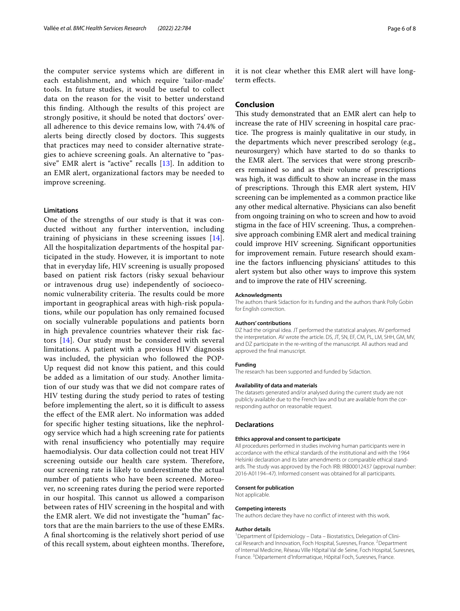the computer service systems which are diferent in each establishment, and which require 'tailor-made' tools. In future studies, it would be useful to collect data on the reason for the visit to better understand this fnding. Although the results of this project are strongly positive, it should be noted that doctors' overall adherence to this device remains low, with 74.4% of alerts being directly closed by doctors. This suggests that practices may need to consider alternative strategies to achieve screening goals. An alternative to "passive" EMR alert is "active" recalls [[13](#page-6-8)]. In addition to an EMR alert, organizational factors may be needed to improve screening.

#### **Limitations**

One of the strengths of our study is that it was conducted without any further intervention, including training of physicians in these screening issues [[14\]](#page-6-16). All the hospitalization departments of the hospital participated in the study. However, it is important to note that in everyday life, HIV screening is usually proposed based on patient risk factors (risky sexual behaviour or intravenous drug use) independently of socioeconomic vulnerability criteria. The results could be more important in geographical areas with high-risk populations, while our population has only remained focused on socially vulnerable populations and patients born in high prevalence countries whatever their risk factors [[14\]](#page-6-16). Our study must be considered with several limitations. A patient with a previous HIV diagnosis was included, the physician who followed the POP-Up request did not know this patient, and this could be added as a limitation of our study. Another limitation of our study was that we did not compare rates of HIV testing during the study period to rates of testing before implementing the alert, so it is difficult to assess the efect of the EMR alert. No information was added for specifc higher testing situations, like the nephrology service which had a high screening rate for patients with renal insufficiency who potentially may require haemodialysis. Our data collection could not treat HIV screening outside our health care system. Therefore, our screening rate is likely to underestimate the actual number of patients who have been screened. Moreover, no screening rates during the period were reported in our hospital. This cannot us allowed a comparison between rates of HIV screening in the hospital and with the EMR alert. We did not investigate the "human" factors that are the main barriers to the use of these EMRs. A fnal shortcoming is the relatively short period of use of this recall system, about eighteen months. Therefore,

it is not clear whether this EMR alert will have longterm efects.

## **Conclusion**

This study demonstrated that an EMR alert can help to increase the rate of HIV screening in hospital care practice. The progress is mainly qualitative in our study, in the departments which never prescribed serology (e.g., neurosurgery) which have started to do so thanks to the EMR alert. The services that were strong prescribers remained so and as their volume of prescriptions was high, it was difficult to show an increase in the mass of prescriptions. Through this EMR alert system, HIV screening can be implemented as a common practice like any other medical alternative. Physicians can also beneft from ongoing training on who to screen and how to avoid stigma in the face of HIV screening. Thus, a comprehensive approach combining EMR alert and medical training could improve HIV screening. Signifcant opportunities for improvement remain. Future research should examine the factors infuencing physicians' attitudes to this alert system but also other ways to improve this system and to improve the rate of HIV screening.

#### **Acknowledgments**

The authors thank Sidaction for its funding and the authors thank Polly Gobin for English correction.

#### **Authors' contributions**

DZ had the original idea. JT performed the statistical analyses. AV performed the interpretation. AV wrote the article. DS, JT, SN, EF, CM, PL, LM, SHH, GM, MV, and DZ participate in the re-writing of the manuscript. All authors read and approved the fnal manuscript.

#### **Funding**

The research has been supported and funded by Sidaction.

#### **Availability of data and materials**

The datasets generated and/or analysed during the current study are not publicly available due to the French law and but are available from the corresponding author on reasonable request.

#### **Declarations**

#### **Ethics approval and consent to participate**

All procedures performed in studies involving human participants were in accordance with the ethical standards of the institutional and with the 1964 Helsinki declaration and its later amendments or comparable ethical standards. The study was approved by the Foch IRB: IRB00012437 (approval number: 2016-A01194–47). Informed consent was obtained for all participants.

#### **Consent for publication**

Not applicable.

# **Competing interests**

The authors declare they have no confict of interest with this work.

#### **Author details**

<sup>1</sup> Department of Epidemiology - Data - Biostatistics, Delegation of Clinical Research and Innovation, Foch Hospital, Suresnes, France. <sup>2</sup>Department of Internal Medicine, Réseau Ville Hôpital Val de Seine, Foch Hospital, Suresnes, France.<sup>3</sup> Département d'Informatique, Hôpital Foch, Suresnes, France.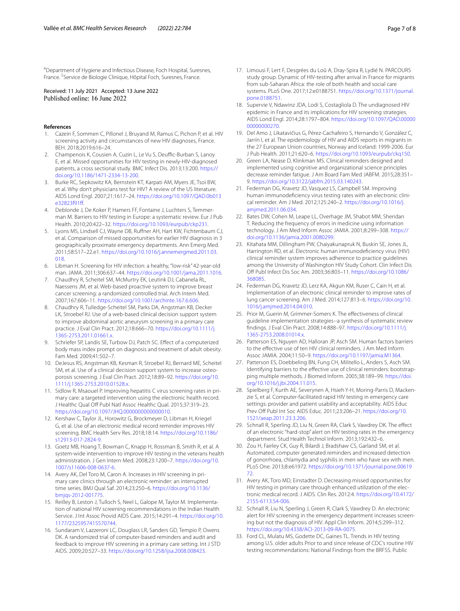<sup>4</sup> Department of Hygiene and Infectious Disease, Foch Hospital, Suresnes, France. <sup>5</sup>Service de Biologie Clinique, Hôpital Foch, Suresnes, France.

# Received: 11 July 2021 Accepted: 13 June 2022<br>Published online: 16 June 2022

#### **References**

- <span id="page-6-0"></span>1. Cazein F, Sommen C, Pillonel J, Bruyand M, Ramus C, Pichon P, et al. HIV screening activity and circumstances of new HIV diagnoses, France. BEH. 2018;2019:616–24.
- <span id="page-6-1"></span>2. Champenois K, Cousien A, Cuzin L, Le Vu S, Deuffic-Burban S, Lanoy E, et al. Missed opportunities for HIV testing in newly-HIV-diagnosed patients, a cross sectional study. BMC Infect Dis. 2013;13:200. [https://](https://doi.org/10.1186/1471-2334-13-200) [doi.org/10.1186/1471-2334-13-200](https://doi.org/10.1186/1471-2334-13-200).
- <span id="page-6-2"></span>3. Burke RC, Sepkowitz KA, Bernstein KT, Karpati AM, Myers JE, Tsoi BW, et al. Why don't physicians test for HIV? A review of the US literature. AIDS Lond Engl. 2007;21:1617–24. [https://doi.org/10.1097/QAD.0b013](https://doi.org/10.1097/QAD.0b013e32823f91ff) [e32823f91f.](https://doi.org/10.1097/QAD.0b013e32823f91ff)
- 4. Deblonde J, De Koker P, Hamers FF, Fontaine J, Luchters S, Temmerman M. Barriers to HIV testing in Europe: a systematic review. Eur J Pub Health. 2010;20:422–32. [https://doi.org/10.1093/eurpub/ckp231.](https://doi.org/10.1093/eurpub/ckp231)
- <span id="page-6-3"></span>5. Lyons MS, Lindsell CJ, Wayne DB, Rufner AH, Hart KW, Fichtenbaum CJ, et al. Comparison of missed opportunities for earlier HIV diagnosis in 3 geographically proximate emergency departments. Ann Emerg Med. 2011;58:S17–22.e1. [https://doi.org/10.1016/j.annemergmed.2011.03.](https://doi.org/10.1016/j.annemergmed.2011.03.018) [018.](https://doi.org/10.1016/j.annemergmed.2011.03.018)
- <span id="page-6-4"></span>6. Libman H. Screening for HIV infection: a healthy, "low-risk" 42-year-old man. JAMA. 2011;306:637–44. [https://doi.org/10.1001/jama.2011.1016.](https://doi.org/10.1001/jama.2011.1016)
- <span id="page-6-5"></span>7. Chaudhry R, Scheitel SM, McMurtry EK, Leutink DJ, Cabanela RL, Naessens JM, et al. Web-based proactive system to improve breast cancer screening: a randomized controlled trial. Arch Intern Med. 2007;167:606–11. [https://doi.org/10.1001/archinte.167.6.606.](https://doi.org/10.1001/archinte.167.6.606)
- 8. Chaudhry R, Tulledge-Scheitel SM, Parks DA, Angstman KB, Decker LK, Stroebel RJ. Use of a web-based clinical decision support system to improve abdominal aortic aneurysm screening in a primary care practice. J Eval Clin Pract. 2012;18:666–70. [https://doi.org/10.1111/j.](https://doi.org/10.1111/j.1365-2753.2011.01661.x) [1365-2753.2011.01661.x.](https://doi.org/10.1111/j.1365-2753.2011.01661.x)
- Schriefer SP, Landis SE, Turbow DJ, Patch SC. Effect of a computerized body mass index prompt on diagnosis and treatment of adult obesity. Fam Med. 2009;41:502–7.
- 10. DeJesus RS, Angstman KB, Kesman R, Stroebel RJ, Bernard ME, Scheitel SM, et al. Use of a clinical decision support system to increase osteoporosis screening. J Eval Clin Pract. 2012;18:89–92. [https://doi.org/10.](https://doi.org/10.1111/j.1365-2753.2010.01528.x) [1111/j.1365-2753.2010.01528.x](https://doi.org/10.1111/j.1365-2753.2010.01528.x).
- <span id="page-6-6"></span>11. Sidlow R, Msaouel P. Improving hepatitis C virus screening rates in primary care: a targeted intervention using the electronic health record. J Healthc Qual Off Publ Natl Assoc Healthc Qual. 2015;37:319-23. <https://doi.org/10.1097/JHQ.0000000000000010>.
- <span id="page-6-7"></span>12. Kershaw C, Taylor JL, Horowitz G, Brockmeyer D, Libman H, Kriegel G, et al. Use of an electronic medical record reminder improves HIV screening. BMC Health Serv Res. 2018;18:14. [https://doi.org/10.1186/](https://doi.org/10.1186/s12913-017-2824-9) [s12913-017-2824-9.](https://doi.org/10.1186/s12913-017-2824-9)
- <span id="page-6-8"></span>13. Goetz MB, Hoang T, Bowman C, Knapp H, Rossman B, Smith R, et al. A system-wide intervention to improve HIV testing in the veterans health administration. J Gen Intern Med. 2008;23:1200–7. [https://doi.org/10.](https://doi.org/10.1007/s11606-008-0637-6) [1007/s11606-008-0637-6](https://doi.org/10.1007/s11606-008-0637-6).
- <span id="page-6-16"></span>14. Avery AK, Del Toro M, Caron A. Increases in HIV screening in primary care clinics through an electronic reminder: an interrupted time series. BMJ Qual Saf. 2014;23:250–6. [https://doi.org/10.1136/](https://doi.org/10.1136/bmjqs-2012-001775) [bmjqs-2012-001775](https://doi.org/10.1136/bmjqs-2012-001775).
- <span id="page-6-9"></span>15. Reilley B, Leston J, Tulloch S, Neel L, Galope M, Taylor M. Implementation of national HIV screening recommendations in the Indian Health Service. J Int Assoc Provid AIDS Care. 2015;14:291–4. [https://doi.org/10.](https://doi.org/10.1177/2325957415570744) [1177/2325957415570744.](https://doi.org/10.1177/2325957415570744)
- <span id="page-6-10"></span>16. Sundaram V, Lazzeroni LC, Douglass LR, Sanders GD, Tempio P, Owens DK. A randomized trial of computer-based reminders and audit and feedback to improve HIV screening in a primary care setting. Int J STD AIDS. 2009;20:527–33. <https://doi.org/10.1258/ijsa.2008.008423>.
- <span id="page-6-11"></span>17. Limousi F, Lert F, Desgrées du Loû A, Dray-Spira R, Lydié N. PARCOURS study group. Dynamic of HIV-testing after arrival in France for migrants from sub-Saharan Africa: the role of both health and social care systems. PLoS One. 2017;12:e0188751. [https://doi.org/10.1371/journal.](https://doi.org/10.1371/journal.pone.0188751) [pone.0188751.](https://doi.org/10.1371/journal.pone.0188751)
- <span id="page-6-12"></span>18. Supervie V, Ndawinz JDA, Lodi S, Costagliola D. The undiagnosed HIV epidemic in France and its implications for HIV screening strategies. AIDS Lond Engl. 2014;28:1797–804. [https://doi.org/10.1097/QAD.00000](https://doi.org/10.1097/QAD.0000000000000270) [00000000270](https://doi.org/10.1097/QAD.0000000000000270).
- <span id="page-6-13"></span>19. Del Amo J, Likatavičius G, Pérez-Cachafeiro S, Hernando V, González C, Jarrín I, et al. The epidemiology of HIV and AIDS reports in migrants in the 27 European Union countries, Norway and Iceland: 1999-2006. Eur J Pub Health. 2011;21:620–6. <https://doi.org/10.1093/eurpub/ckq150>.
- <span id="page-6-14"></span>20. Green LA, Nease D, Klinkman MS. Clinical reminders designed and implemented using cognitive and organizational science principles decrease reminder fatigue. J Am Board Fam Med JABFM. 2015;28:351– 9. <https://doi.org/10.3122/jabfm.2015.03.140243>.
- <span id="page-6-15"></span>21. Federman DG, Kravetz JD, Vasquez LS, Campbell SM. Improving human immunodefciency virus testing rates with an electronic clinical reminder. Am J Med. 2012;125:240–2. [https://doi.org/10.1016/j.](https://doi.org/10.1016/j.amjmed.2011.06.034) [amjmed.2011.06.034](https://doi.org/10.1016/j.amjmed.2011.06.034).
- <span id="page-6-17"></span>22. Bates DW, Cohen M, Leape LL, Overhage JM, Shabot MM, Sheridan T. Reducing the frequency of errors in medicine using information technology. J Am Med Inform Assoc JAMIA. 2001;8:299–308. [https://](https://doi.org/10.1136/jamia.2001.0080299) [doi.org/10.1136/jamia.2001.0080299.](https://doi.org/10.1136/jamia.2001.0080299)
- 23. Kitahata MM, Dillingham PW, Chaiyakunapruk N, Buskin SE, Jones JL, Harrington RD, et al. Electronic human immunodefciency virus (HIV) clinical reminder system improves adherence to practice guidelines among the University of Washington HIV Study Cohort. Clin Infect Dis Of Publ Infect Dis Soc Am. 2003;36:803–11. [https://doi.org/10.1086/](https://doi.org/10.1086/368085) [368085](https://doi.org/10.1086/368085).
- <span id="page-6-18"></span>24. Federman DG, Kravetz JD, Lerz KA, Akgun KM, Ruser C, Cain H, et al. Implementation of an electronic clinical reminder to improve rates of lung cancer screening. Am J Med. 2014;127:813–6. [https://doi.org/10.](https://doi.org/10.1016/j.amjmed.2014.04.010) [1016/j.amjmed.2014.04.010](https://doi.org/10.1016/j.amjmed.2014.04.010).
- <span id="page-6-19"></span>25. Prior M, Guerin M, Grimmer-Somers K. The efectiveness of clinical guideline implementation strategies--a synthesis of systematic review fndings. J Eval Clin Pract. 2008;14:888–97. [https://doi.org/10.1111/j.](https://doi.org/10.1111/j.1365-2753.2008.01014.x) [1365-2753.2008.01014.x.](https://doi.org/10.1111/j.1365-2753.2008.01014.x)
- <span id="page-6-20"></span>26. Patterson ES, Nguyen AD, Halloran JP, Asch SM. Human factors barriers to the efective use of ten HIV clinical reminders. J Am Med Inform Assoc JAMIA. 2004;11:50–9. [https://doi.org/10.1197/jamia.M1364.](https://doi.org/10.1197/jamia.M1364)
- 27. Patterson ES, Doebbeling BN, Fung CH, Militello L, Anders S, Asch SM. Identifying barriers to the efective use of clinical reminders: bootstrapping multiple methods. J Biomed Inform. 2005;38:189–99. [https://doi.](https://doi.org/10.1016/j.jbi.2004.11.015) [org/10.1016/j.jbi.2004.11.015.](https://doi.org/10.1016/j.jbi.2004.11.015)
- 28. Spielberg F, Kurth AE, Severynen A, Hsieh Y-H, Moring-Parris D, Mackenzie S, et al. Computer-facilitated rapid HIV testing in emergency care settings: provider and patient usability and acceptability. AIDS Educ Prev Off Publ Int Soc AIDS Educ. 2011;23:206-21. [https://doi.org/10.](https://doi.org/10.1521/aeap.2011.23.3.206) [1521/aeap.2011.23.3.206.](https://doi.org/10.1521/aeap.2011.23.3.206)
- 29. Schnall R, Sperling JD, Liu N, Green RA, Clark S, Vawdrey DK. The effect of an electronic "hard-stop" alert on HIV testing rates in the emergency department. Stud Health Technol Inform. 2013;192:432–6.
- <span id="page-6-21"></span>30. Zou H, Fairley CK, Guy R, Bilardi J, Bradshaw CS, Garland SM, et al. Automated, computer generated reminders and increased detection of gonorrhoea, chlamydia and syphilis in men who have sex with men. PLoS One. 2013;8:e61972. [https://doi.org/10.1371/journal.pone.00619](https://doi.org/10.1371/journal.pone.0061972) [72](https://doi.org/10.1371/journal.pone.0061972).
- <span id="page-6-22"></span>31. Avery AK, Toro MD, Einstadter D. Decreasing missed opportunities for HIV testing in primary care through enhanced utilization of the electronic medical record. J AIDS. Clin Res. 2012:4. [https://doi.org/10.4172/](https://doi.org/10.4172/2155-6113.S4-006) [2155-6113.S4-006.](https://doi.org/10.4172/2155-6113.S4-006)
- <span id="page-6-23"></span>32. Schnall R, Liu N, Sperling J, Green R, Clark S, Vawdrey D. An electronic alert for HIV screening in the emergency department increases screening but not the diagnosis of HIV. Appl Clin Inform. 2014;5:299–312. [https://doi.org/10.4338/ACI-2013-09-RA-0075.](https://doi.org/10.4338/ACI-2013-09-RA-0075)
- <span id="page-6-24"></span>33. Ford CL, Mulatu MS, Godette DC, Gaines TL. Trends in HIV testing among U.S. older adults Prior to and since release of CDC's routine HIV testing recommendations: National Findings from the BRFSS. Public